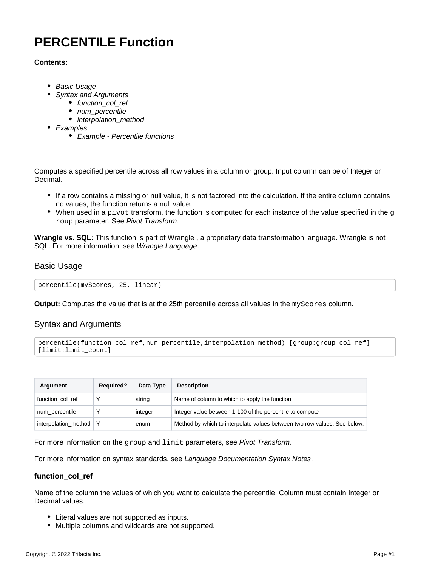# <span id="page-0-3"></span>**PERCENTILE Function**

## **Contents:**

- [Basic Usage](#page-0-0)
- [Syntax and Arguments](#page-0-1)
	- [function\\_col\\_ref](#page-0-2)
	- [num\\_percentile](#page-1-0)
	- [interpolation\\_method](#page-1-1)
- [Examples](#page-1-2)
	- [Example Percentile functions](#page-1-3)

Computes a specified percentile across all row values in a column or group. Input column can be of Integer or Decimal.

- If a row contains a missing or null value, it is not factored into the calculation. If the entire column contains no values, the function returns a null value.
- $\bullet$  When used in a pivot transform, the function is computed for each instance of the value specified in the g roup parameter. See [Pivot Transform](https://docs.trifacta.com/display/r087/Pivot+Transform).

**Wrangle vs. SQL:** This function is part of Wrangle , a proprietary data transformation language. Wrangle is not SQL. For more information, see [Wrangle Language](https://docs.trifacta.com/display/r087/Wrangle+Language).

# <span id="page-0-0"></span>Basic Usage

percentile(myScores, 25, linear)

**Output:** Computes the value that is at the 25th percentile across all values in the myScores column.

# <span id="page-0-1"></span>Syntax and Arguments

```
percentile(function_col_ref,num_percentile,interpolation_method) [group:group_col_ref] 
[limit:limit_count]
```

| Argument             | <b>Required?</b> | Data Type | <b>Description</b>                                                       |
|----------------------|------------------|-----------|--------------------------------------------------------------------------|
| function col ref     | $\check{ }$      | string    | Name of column to which to apply the function                            |
| num_percentile       |                  | integer   | Integer value between 1-100 of the percentile to compute                 |
| interpolation method |                  | enum      | Method by which to interpolate values between two row values. See below. |

For more information on the group and limit parameters, see [Pivot Transform](https://docs.trifacta.com/display/r087/Pivot+Transform).

For more information on syntax standards, see [Language Documentation Syntax Notes](https://docs.trifacta.com/display/r087/Language+Documentation+Syntax+Notes).

#### <span id="page-0-2"></span>**function\_col\_ref**

Name of the column the values of which you want to calculate the percentile. Column must contain Integer or Decimal values.

- Literal values are not supported as inputs.
- Multiple columns and wildcards are not supported.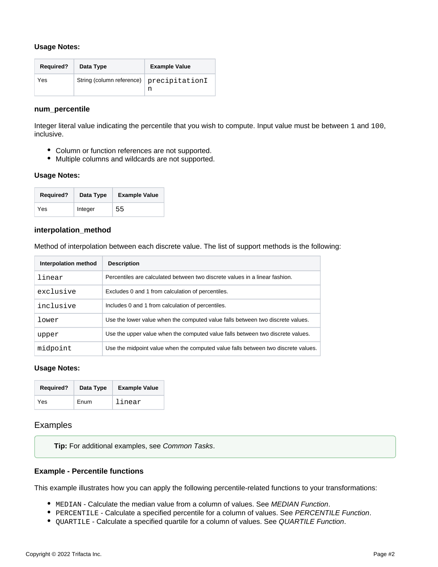## **Usage Notes:**

| <b>Required?</b> | Data Type                                | <b>Example Value</b> |
|------------------|------------------------------------------|----------------------|
| Yes              | String (column reference) precipitationI | n                    |

#### <span id="page-1-0"></span>**num\_percentile**

Integer literal value indicating the percentile that you wish to compute. Input value must be between 1 and 100, inclusive.

- Column or function references are not supported.
- Multiple columns and wildcards are not supported.

## **Usage Notes:**

| <b>Required?</b> | Data Type | <b>Example Value</b> |  |  |
|------------------|-----------|----------------------|--|--|
| Yes              | Integer   | 55                   |  |  |

## <span id="page-1-1"></span>**interpolation\_method**

Method of interpolation between each discrete value. The list of support methods is the following:

| Interpolation method | <b>Description</b>                                                                |
|----------------------|-----------------------------------------------------------------------------------|
| linear               | Percentiles are calculated between two discrete values in a linear fashion.       |
| exclusive            | Excludes 0 and 1 from calculation of percentiles.                                 |
| inclusive            | Includes 0 and 1 from calculation of percentiles.                                 |
| lower                | Use the lower value when the computed value falls between two discrete values.    |
| upper                | Use the upper value when the computed value falls between two discrete values.    |
| midpoint             | Use the midpoint value when the computed value falls between two discrete values. |

#### **Usage Notes:**

| <b>Required?</b> | Data Type | <b>Example Value</b> |
|------------------|-----------|----------------------|
| Yes              | Enum      | linear               |

# <span id="page-1-2"></span>Examples

**Tip:** For additional examples, see [Common Tasks](https://docs.trifacta.com/display/r087/Common+Tasks).

# <span id="page-1-3"></span>**Example - Percentile functions**

This example illustrates how you can apply the following percentile-related functions to your transformations:

- $\bullet$  MEDIAN Calculate the median value from a column of values. See [MEDIAN Function](https://docs.trifacta.com/display/r087/MEDIAN+Function).
- **PERCENTILE Calculate a specified percentile for a column of values. See [PERCENTILE Function](#page-0-3).**
- **•** QUARTILE Calculate a specified quartile for a column of values. See [QUARTILE Function](https://docs.trifacta.com/display/r087/QUARTILE+Function).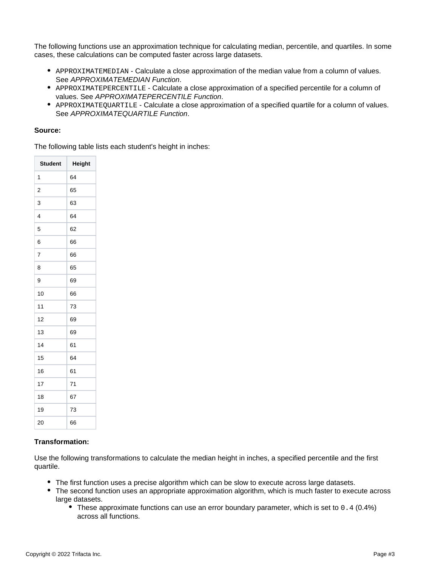The following functions use an approximation technique for calculating median, percentile, and quartiles. In some cases, these calculations can be computed faster across large datasets.

- APPROXIMATEMEDIAN Calculate a close approximation of the median value from a column of values. See [APPROXIMATEMEDIAN Function](https://docs.trifacta.com/display/r087/APPROXIMATEMEDIAN+Function).
- APPROXIMATEPERCENTILE Calculate a close approximation of a specified percentile for a column of values. See [APPROXIMATEPERCENTILE Function](https://docs.trifacta.com/display/r087/APPROXIMATEPERCENTILE+Function).
- APPROXIMATEQUARTILE Calculate a close approximation of a specified quartile for a column of values. See [APPROXIMATEQUARTILE Function](https://docs.trifacta.com/display/r087/APPROXIMATEQUARTILE+Function).

#### **Source:**

The following table lists each student's height in inches:

| <b>Student</b>          | Height |
|-------------------------|--------|
| 1                       | 64     |
| $\overline{\mathbf{c}}$ | 65     |
| 3                       | 63     |
| $\overline{4}$          | 64     |
| 5                       | 62     |
| 6                       | 66     |
| 7                       | 66     |
| 8                       | 65     |
| 9                       | 69     |
| 10                      | 66     |
| 11                      | 73     |
| 12                      | 69     |
| 13                      | 69     |
| 14                      | 61     |
| 15                      | 64     |
| 16                      | 61     |
| 17                      | 71     |
| 18                      | 67     |
| 19                      | 73     |
| 20                      | 66     |

# **Transformation:**

Use the following transformations to calculate the median height in inches, a specified percentile and the first quartile.

- The first function uses a precise algorithm which can be slow to execute across large datasets.
- The second function uses an appropriate approximation algorithm, which is much faster to execute across large datasets.
	- These approximate functions can use an error boundary parameter, which is set to 0.4 (0.4%) across all functions.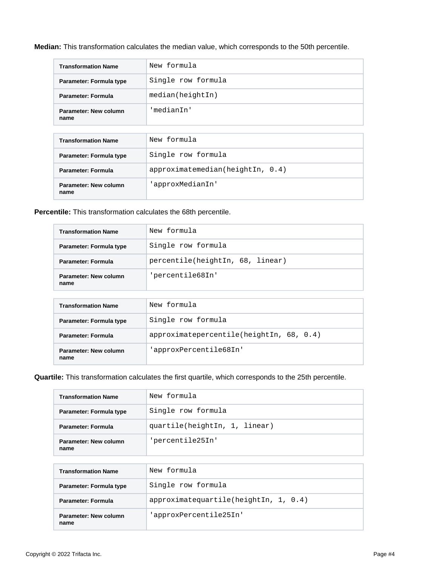**Median:** This transformation calculates the median value, which corresponds to the 50th percentile.

| <b>Transformation Name</b>    | New formula        |
|-------------------------------|--------------------|
| Parameter: Formula type       | Single row formula |
| Parameter: Formula            | median(heightIn)   |
| Parameter: New column<br>name | 'medianIn'         |

| <b>Transformation Name</b>    | New formula                  |
|-------------------------------|------------------------------|
| Parameter: Formula type       | Single row formula           |
| <b>Parameter: Formula</b>     | approximation(heightIn, 0.4) |
| Parameter: New column<br>name | 'approxMedianIn'             |

## **Percentile:** This transformation calculates the 68th percentile.

| <b>Transformation Name</b>                                     | New formula                      |  |
|----------------------------------------------------------------|----------------------------------|--|
| Parameter: Formula type                                        | Single row formula               |  |
| Parameter: Formula                                             | percentile(heightIn, 68, linear) |  |
| Parameter: New column<br>name                                  | 'percentile68In'                 |  |
|                                                                |                                  |  |
| New formula<br><b>Transformation Name</b>                      |                                  |  |
| Single row formula<br>Parameter: Formula type                  |                                  |  |
| approximatepercentile(heightIn, 68, 0.4)<br>Parameter: Formula |                                  |  |
| 'approxPercentile68In'<br>Parameter: New column<br>name        |                                  |  |

## **Quartile:** This transformation calculates the first quartile, which corresponds to the 25th percentile.

| <b>Transformation Name</b>    | New formula                           |
|-------------------------------|---------------------------------------|
| Parameter: Formula type       | Single row formula                    |
| Parameter: Formula            | quartile(heightIn, 1, linear)         |
| Parameter: New column<br>name | 'percentile25In'                      |
|                               |                                       |
| <b>Transformation Name</b>    | New formula                           |
| Parameter: Formula type       | Single row formula                    |
| Parameter: Formula            | approximatequartile(heightIn, 1, 0.4) |
| Parameter: New column<br>name | 'approxPercentile25In'                |